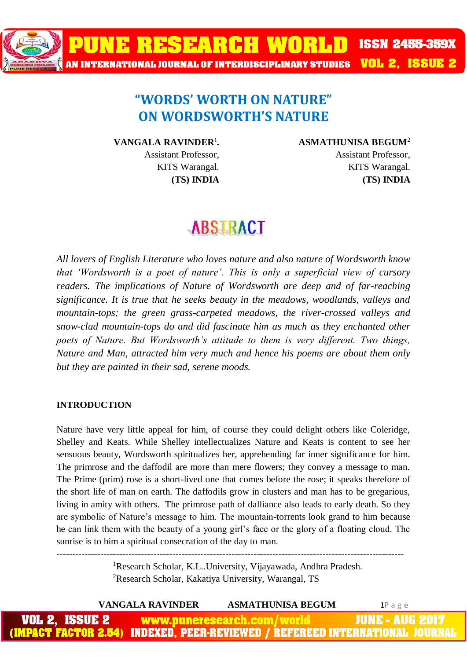

### **"WORDS' WORTH ON NATURE" ON WORDSWORTH'S NATURE**

**VANGALA RAVINDER**<sup>1</sup> **.**  Assistant Professor, KITS Warangal. **(TS) INDIA**

#### **ASMATHUNISA BEGUM**<sup>2</sup>

Assistant Professor, KITS Warangal. **(TS) INDIA**

## **ABSTRACT**

*All lovers of English Literature who loves nature and also nature of Wordsworth know that 'Wordsworth is a poet of nature'. This is only a superficial view of cursory readers. The implications of Nature of Wordsworth are deep and of far-reaching significance. It is true that he seeks beauty in the meadows, woodlands, valleys and mountain-tops; the green grass-carpeted meadows, the river-crossed valleys and snow-clad mountain-tops do and did fascinate him as much as they enchanted other poets of Nature. But Wordsworth's attitude to them is very different. Two things, Nature and Man, attracted him very much and hence his poems are about them only but they are painted in their sad, serene moods.*

#### **INTRODUCTION**

Nature have very little appeal for him, of course they could delight others like Coleridge, Shelley and Keats. While Shelley intellectualizes Nature and Keats is content to see her sensuous beauty, Wordsworth spiritualizes her, apprehending far inner significance for him. The primrose and the daffodil are more than mere flowers; they convey a message to man. The Prime (prim) rose is a short-lived one that comes before the rose; it speaks therefore of the short life of man on earth. The daffodils grow in clusters and man has to be gregarious, living in amity with others. The primrose path of dalliance also leads to early death. So they are symbolic of Nature's message to him. The mountain-torrents look grand to him because he can link them with the beauty of a young girl's face or the glory of a floating cloud. The sunrise is to him a spiritual consecration of the day to man.

> <sup>1</sup>Research Scholar, K.L..University, Vijayawada, Andhra Pradesh. <sup>2</sup>Research Scholar, Kakatiya University, Warangal, TS

---------------------------------------------------------------------------------------------------------------

|                       | <b>VANGALA RAVINDER</b> | <b>ASMATHUNISA BEGUM</b>   | $1P$ a g $e$                                                                 |
|-----------------------|-------------------------|----------------------------|------------------------------------------------------------------------------|
| <b>VOL 2, ISSUE 2</b> |                         | www.puneresearch.com/world | <b>JUNE - AUG 2017</b>                                                       |
|                       |                         |                            | (IMPACT FACTOR 2.54) INDEXED, PEER-REVIEWED / REFEREED INTERNATIONAL JOURNAL |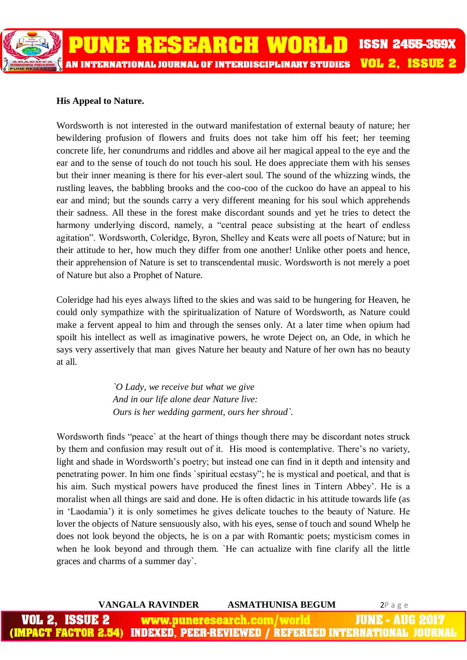

#### **His Appeal to Nature.**

Wordsworth is not interested in the outward manifestation of external beauty of nature; her bewildering profusion of flowers and fruits does not take him off his feet; her teeming concrete life, her conundrums and riddles and above ail her magical appeal to the eye and the ear and to the sense of touch do not touch his soul. He does appreciate them with his senses but their inner meaning is there for his ever-alert soul. The sound of the whizzing winds, the rustling leaves, the babbling brooks and the coo-coo of the cuckoo do have an appeal to his ear and mind; but the sounds carry a very different meaning for his soul which apprehends their sadness. All these in the forest make discordant sounds and yet he tries to detect the harmony underlying discord, namely, a "central peace subsisting at the heart of endless agitation". Wordsworth, Coleridge, Byron, Shelley and Keats were all poets of Nature; but in their attitude to her, how much they differ from one another! Unlike other poets and hence, their apprehension of Nature is set to transcendental music. Wordsworth is not merely a poet of Nature but also a Prophet of Nature.

Coleridge had his eyes always lifted to the skies and was said to be hungering for Heaven, he could only sympathize with the spiritualization of Nature of Wordsworth, as Nature could make a fervent appeal to him and through the senses only. At a later time when opium had spoilt his intellect as well as imaginative powers, he wrote Deject on, an Ode, in which he says very assertively that man gives Nature her beauty and Nature of her own has no beauty at all.

> *`O Lady, we receive but what we give And in our life alone dear Nature live: Ours is her wedding garment, ours her shroud`.*

Wordsworth finds "peace` at the heart of things though there may be discordant notes struck by them and confusion may result out of it. His mood is contemplative. There's no variety, light and shade in Wordsworth's poetry; but instead one can find in it depth and intensity and penetrating power. In him one finds `spiritual ecstasy"; he is mystical and poetical, and that is his aim. Such mystical powers have produced the finest lines in Tintern Abbey'. He is a moralist when all things are said and done. He is often didactic in his attitude towards life (as in 'Laodamia') it is only sometimes he gives delicate touches to the beauty of Nature. He lover the objects of Nature sensuously also, with his eyes, sense of touch and sound Whelp he does not look beyond the objects, he is on a par with Romantic poets; mysticism comes in when he look beyond and through them. `He can actualize with fine clarify all the little graces and charms of a summer day`.

|                       | VANGALA RAVINDER | <b>ASMATHUNISA BEGUM</b>   | $2P$ a g e                                                                   |
|-----------------------|------------------|----------------------------|------------------------------------------------------------------------------|
| <b>VOL 2, ISSUE 2</b> |                  | www.puneresearch.com/world | \_JUNE - AUG 2017 \                                                          |
|                       |                  |                            | (IMPACT FACTOR 2.54) INDEXED. PEER-REVIEWED / REFEREED INTERNATIONAL JOURNAL |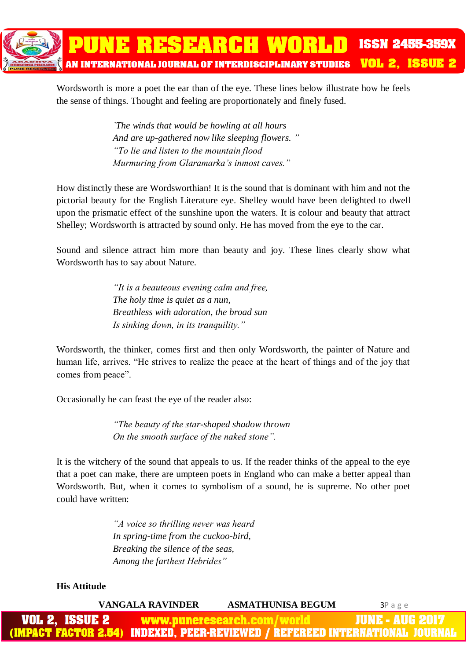

Wordsworth is more a poet the ear than of the eye. These lines below illustrate how he feels the sense of things. Thought and feeling are proportionately and finely fused.

> *`The winds that would be howling at all hours And are up-gathered now like sleeping flowers. " "To lie and listen to the mountain flood Murmuring from Glaramarka's inmost caves."*

How distinctly these are Wordsworthian! It is the sound that is dominant with him and not the pictorial beauty for the English Literature eye. Shelley would have been delighted to dwell upon the prismatic effect of the sunshine upon the waters. It is colour and beauty that attract Shelley; Wordsworth is attracted by sound only. He has moved from the eye to the car.

Sound and silence attract him more than beauty and joy. These lines clearly show what Wordsworth has to say about Nature.

> *"It is a beauteous evening calm and free, The holy time is quiet as a nun, Breathless with adoration, the broad sun Is sinking down, in its tranquility."*

Wordsworth, the thinker, comes first and then only Wordsworth, the painter of Nature and human life, arrives. "He strives to realize the peace at the heart of things and of the joy that comes from peace".

Occasionally he can feast the eye of the reader also:

*"The beauty of the star-shaped shadow thrown On the smooth surface of the naked stone".*

It is the witchery of the sound that appeals to us. If the reader thinks of the appeal to the eye that a poet can make, there are umpteen poets in England who can make a better appeal than Wordsworth. But, when it comes to symbolism of a sound, he is supreme. No other poet could have written:

> *"A voice so thrilling never was heard In spring-time from the cuckoo-bird, Breaking the silence of the seas, Among the farthest Hebrides"*

#### **His Attitude**

|                | <b>VANGALA RAVINDER</b> | <b>ASMATHUNISA BEGUM</b>   | <b>3</b> Page                                                                          |
|----------------|-------------------------|----------------------------|----------------------------------------------------------------------------------------|
| VOL 2, ISSUE 2 |                         | www.puneresearch.com/world | <b>JUNE - AUG 2017</b>                                                                 |
|                |                         |                            | <u>(IMPACT FACTOR 2.54) INDEXED, PEER-REVIEWED / REFEREED INTERNATIONAL JOURNAL   </u> |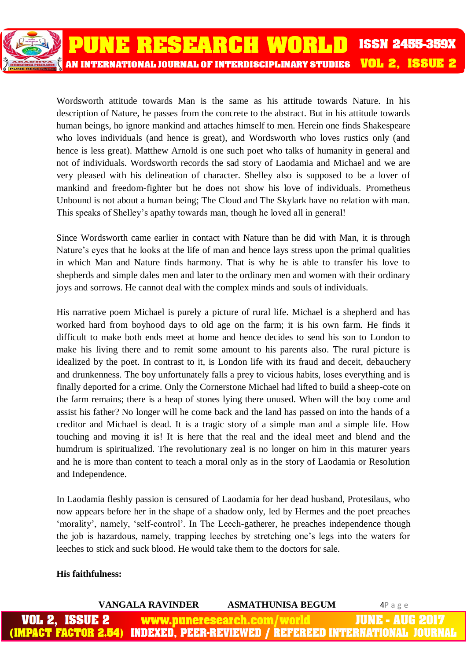Wordsworth attitude towards Man is the same as his attitude towards Nature. In his description of Nature, he passes from the concrete to the abstract. But in his attitude towards human beings, ho ignore mankind and attaches himself to men. Herein one finds Shakespeare who loves individuals (and hence is great), and Wordsworth who loves rustics only (and hence is less great). Matthew Arnold is one such poet who talks of humanity in general and not of individuals. Wordsworth records the sad story of Laodamia and Michael and we are very pleased with his delineation of character. Shelley also is supposed to be a lover of mankind and freedom-fighter but he does not show his love of individuals. Prometheus Unbound is not about a human being; The Cloud and The Skylark have no relation with man. This speaks of Shelley's apathy towards man, though he loved all in general!

Since Wordsworth came earlier in contact with Nature than he did with Man, it is through Nature's eyes that he looks at the life of man and hence lays stress upon the primal qualities in which Man and Nature finds harmony. That is why he is able to transfer his love to shepherds and simple dales men and later to the ordinary men and women with their ordinary joys and sorrows. He cannot deal with the complex minds and souls of individuals.

His narrative poem Michael is purely a picture of rural life. Michael is a shepherd and has worked hard from boyhood days to old age on the farm; it is his own farm. He finds it difficult to make both ends meet at home and hence decides to send his son to London to make his living there and to remit some amount to his parents also. The rural picture is idealized by the poet. In contrast to it, is London life with its fraud and deceit, debauchery and drunkenness. The boy unfortunately falls a prey to vicious habits, loses everything and is finally deported for a crime. Only the Cornerstone Michael had lifted to build a sheep-cote on the farm remains; there is a heap of stones lying there unused. When will the boy come and assist his father? No longer will he come back and the land has passed on into the hands of a creditor and Michael is dead. It is a tragic story of a simple man and a simple life. How touching and moving it is! It is here that the real and the ideal meet and blend and the humdrum is spiritualized. The revolutionary zeal is no longer on him in this maturer years and he is more than content to teach a moral only as in the story of Laodamia or Resolution and Independence.

In Laodamia fleshly passion is censured of Laodamia for her dead husband, Protesilaus, who now appears before her in the shape of a shadow only, led by Hermes and the poet preaches 'morality', namely, 'self-control'. In The Leech-gatherer, he preaches independence though the job is hazardous, namely, trapping leeches by stretching one's legs into the waters for leeches to stick and suck blood. He would take them to the doctors for sale.

#### **His faithfulness:**

|                | VANGALA RAVINDER | <b>ASMATHUNISA BEGUM</b>   | 4Page                                                                        |
|----------------|------------------|----------------------------|------------------------------------------------------------------------------|
| VOL 2, ISSUE 2 |                  | www.puneresearch.com/world | <b>JUNE - AUG 2017</b>                                                       |
|                |                  |                            | (IMPACT FACTOR 2.54) INDEXED, PEER-REVIEWED / REFEREED INTERNATIONAL JOURNAL |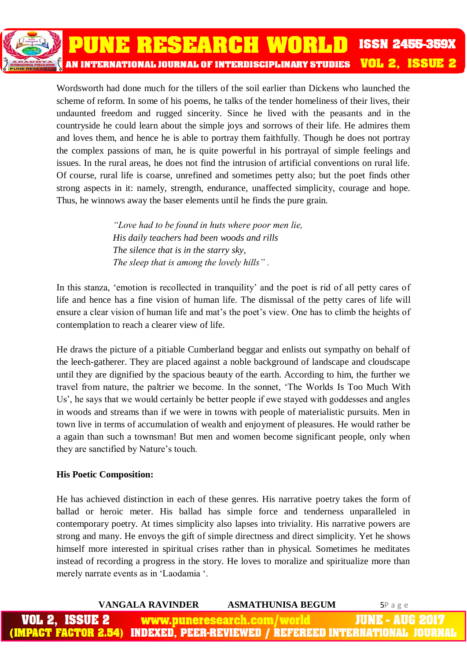Wordsworth had done much for the tillers of the soil earlier than Dickens who launched the scheme of reform. In some of his poems, he talks of the tender homeliness of their lives, their undaunted freedom and rugged sincerity. Since he lived with the peasants and in the countryside he could learn about the simple joys and sorrows of their life. He admires them and loves them, and hence he is able to portray them faithfully. Though he does not portray the complex passions of man, he is quite powerful in his portrayal of simple feelings and issues. In the rural areas, he does not find the intrusion of artificial conventions on rural life. Of course, rural life is coarse, unrefined and sometimes petty also; but the poet finds other strong aspects in it: namely, strength, endurance, unaffected simplicity, courage and hope. Thus, he winnows away the baser elements until he finds the pure grain.

> *"Love had to be found in huts where poor men lie, His daily teachers had been woods and rills The silence that is in the starry sky, The sleep that is among the lovely hills" .*

In this stanza, 'emotion is recollected in tranquility' and the poet is rid of all petty cares of life and hence has a fine vision of human life. The dismissal of the petty cares of life will ensure a clear vision of human life and mat's the poet's view. One has to climb the heights of contemplation to reach a clearer view of life.

He draws the picture of a pitiable Cumberland beggar and enlists out sympathy on behalf of the leech-gatherer. They are placed against a noble background of landscape and cloudscape until they are dignified by the spacious beauty of the earth. According to him, the further we travel from nature, the paltrier we become. In the sonnet, 'The Worlds Is Too Much With Us', he says that we would certainly be better people if ewe stayed with goddesses and angles in woods and streams than if we were in towns with people of materialistic pursuits. Men in town live in terms of accumulation of wealth and enjoyment of pleasures. He would rather be a again than such a townsman! But men and women become significant people, only when they are sanctified by Nature's touch.

#### **His Poetic Composition:**

He has achieved distinction in each of these genres. His narrative poetry takes the form of ballad or heroic meter. His ballad has simple force and tenderness unparalleled in contemporary poetry. At times simplicity also lapses into triviality. His narrative powers are strong and many. He envoys the gift of simple directness and direct simplicity. Yet he shows himself more interested in spiritual crises rather than in physical. Sometimes he meditates instead of recording a progress in the story. He loves to moralize and spiritualize more than merely narrate events as in 'Laodamia '.

|                | <b>VANGALA RAVINDER</b> | <b>ASMATHUNISA BEGUM</b>   | $5P$ age                                                                     |
|----------------|-------------------------|----------------------------|------------------------------------------------------------------------------|
| VOL 2, ISSUE 2 |                         | www.puneresearch.com/world | <b>JUNE - AUG 2017</b>                                                       |
|                |                         |                            | (IMPACT FACTOR 2.54) INDEXED, PEER-REVIEWED / REFEREED INTERNATIONAL JOURNAL |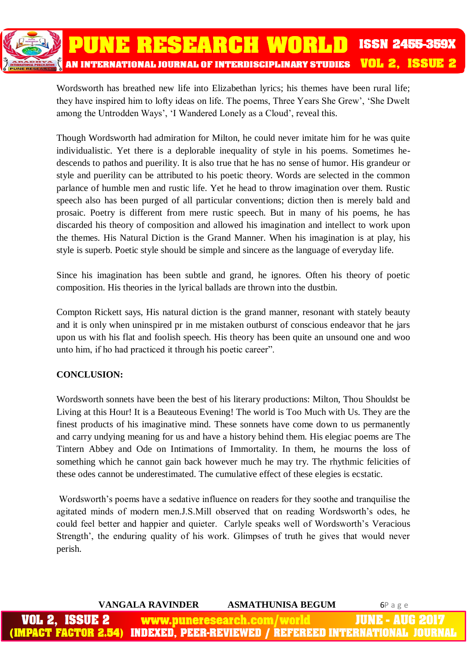

Wordsworth has breathed new life into Elizabethan lyrics; his themes have been rural life; they have inspired him to lofty ideas on life. The poems, Three Years She Grew', 'She Dwelt among the Untrodden Ways', 'I Wandered Lonely as a Cloud', reveal this.

Though Wordsworth had admiration for Milton, he could never imitate him for he was quite individualistic. Yet there is a deplorable inequality of style in his poems. Sometimes hedescends to pathos and puerility. It is also true that he has no sense of humor. His grandeur or style and puerility can be attributed to his poetic theory. Words are selected in the common parlance of humble men and rustic life. Yet he head to throw imagination over them. Rustic speech also has been purged of all particular conventions; diction then is merely bald and prosaic. Poetry is different from mere rustic speech. But in many of his poems, he has discarded his theory of composition and allowed his imagination and intellect to work upon the themes. His Natural Diction is the Grand Manner. When his imagination is at play, his style is superb. Poetic style should be simple and sincere as the language of everyday life.

Since his imagination has been subtle and grand, he ignores. Often his theory of poetic composition. His theories in the lyrical ballads are thrown into the dustbin.

Compton Rickett says, His natural diction is the grand manner, resonant with stately beauty and it is only when uninspired pr in me mistaken outburst of conscious endeavor that he jars upon us with his flat and foolish speech. His theory has been quite an unsound one and woo unto him, if ho had practiced it through his poetic career".

#### **CONCLUSION:**

Wordsworth sonnets have been the best of his literary productions: Milton, Thou Shouldst be Living at this Hour! It is a Beauteous Evening! The world is Too Much with Us. They are the finest products of his imaginative mind. These sonnets have come down to us permanently and carry undying meaning for us and have a history behind them. His elegiac poems are The Tintern Abbey and Ode on Intimations of Immortality. In them, he mourns the loss of something which he cannot gain back however much he may try. The rhythmic felicities of these odes cannot be underestimated. The cumulative effect of these elegies is ecstatic.

Wordsworth's poems have a sedative influence on readers for they soothe and tranquilise the agitated minds of modern men.J.S.Mill observed that on reading Wordsworth's odes, he could feel better and happier and quieter. Carlyle speaks well of Wordsworth's Veracious Strength', the enduring quality of his work. Glimpses of truth he gives that would never perish.

|                       | VANGALA RAVINDER | <b>ASMATHUNISA BEGUM</b>   | $6P$ a g e                                                                   |
|-----------------------|------------------|----------------------------|------------------------------------------------------------------------------|
| <b>VOL 2, ISSUE 2</b> |                  | www.puneresearch.com/world | <b>WINE-AUG 2017</b>                                                         |
|                       |                  |                            | (IMPACT FACTOR 2.54) INDEXED. PEER-REVIEWED / REFEREED INTERNATIONAL JOURNAL |